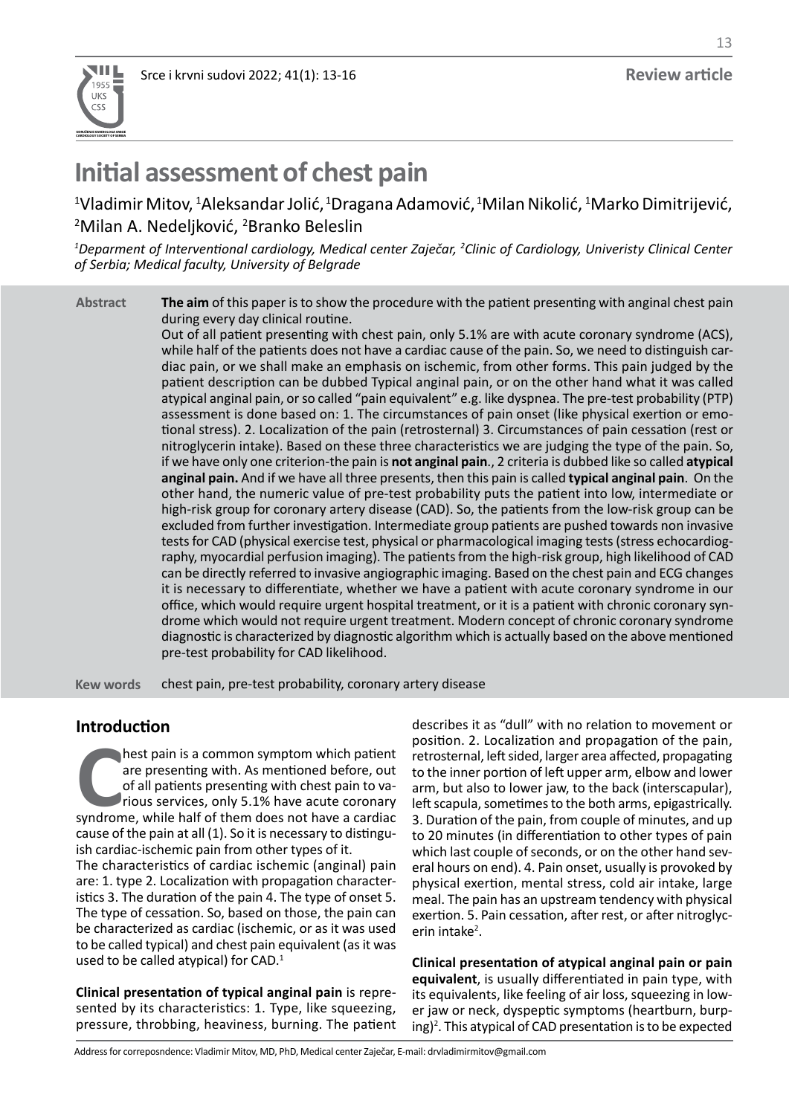

# **Initial assessment of chest pain**

 $^{\rm 1}$ Vladimir Mitov,  $^{\rm 1}$ Aleksandar Jolić,  $^{\rm 1}$ Dragana Adamović,  $^{\rm 1}$ Milan Nikolić,  $^{\rm 1}$ Marko Dimitrijević, <sup>2</sup>Milan A. Nedeljković, <sup>2</sup>Branko Beleslin

<sup>1</sup>Deparment of Interventional cardiology, Medical center Zaječar, <sup>2</sup>Clinic of Cardiology, Univeristy Clinical Center *of Serbia; Medical faculty, University of Belgrade*

**The aim** of this paper is to show the procedure with the patient presenting with anginal chest pain during every day clinical routine. **Abstract**

Out of all patient presenting with chest pain, only 5.1% are with acute coronary syndrome (ACS), while half of the patients does not have a cardiac cause of the pain. So, we need to distinguish cardiac pain, or we shall make an emphasis on ischemic, from other forms. This pain judged by the patient description can be dubbed Typical anginal pain, or on the other hand what it was called atypical anginal pain, or so called "pain equivalent" e.g. like dyspnea. The pre-test probability (PTP) assessment is done based on: 1. The circumstances of pain onset (like physical exertion or emotional stress). 2. Localization of the pain (retrosternal) 3. Circumstances of pain cessation (rest or nitroglycerin intake). Based on these three characteristics we are judging the type of the pain. So, if we have only one criterion-the pain is **not anginal pain**., 2 criteria is dubbed like so called **atypical anginal pain.** And if we have all three presents, then this pain is called **typical anginal pain**. On the other hand, the numeric value of pre-test probability puts the patient into low, intermediate or high-risk group for coronary artery disease (CAD). So, the patients from the low-risk group can be excluded from further investigation. Intermediate group patients are pushed towards non invasive tests for CAD (physical exercise test, physical or pharmacological imaging tests (stress echocardiography, myocardial perfusion imaging). The patients from the high-risk group, high likelihood of CAD can be directly referred to invasive angiographic imaging. Based on the chest pain and ECG changes it is necessary to differentiate, whether we have a patient with acute coronary syndrome in our office, which would require urgent hospital treatment, or it is a patient with chronic coronary syndrome which would not require urgent treatment. Modern concept of chronic coronary syndrome diagnostic is characterized by diagnostic algorithm which is actually based on the above mentioned pre-test probability for CAD likelihood.

chest pain, pre-test probability, coronary artery disease **Kew words**

# **Introduction**

hest pain is a common symptom which patient<br>are presenting with. As mentioned before, out<br>of all patients presenting with chest pain to va-<br>rious services, only 5.1% have acute coronary<br>syndrome, while half of them does no hest pain is a common symptom which patient are presenting with. As mentioned before, out of all patients presenting with chest pain to various services, only 5.1% have acute coronary cause of the pain at all (1). So it is necessary to distinguish cardiac-ischemic pain from other types of it.

The characteristics of cardiac ischemic (anginal) pain are: 1. type 2. Localization with propagation characteristics 3. The duration of the pain 4. The type of onset 5. The type of cessation. So, based on those, the pain can be characterized as cardiac (ischemic, or as it was used to be called typical) and chest pain equivalent (as it was used to be called atypical) for CAD.<sup>1</sup>

**Clinical presentation of typical anginal pain** is represented by its characteristics: 1. Type, like squeezing, pressure, throbbing, heaviness, burning. The patient

describes it as "dull" with no relation to movement or position. 2. Localization and propagation of the pain, retrosternal, left sided, larger area affected, propagating to the inner portion of left upper arm, elbow and lower arm, but also to lower jaw, to the back (interscapular), left scapula, sometimes to the both arms, epigastrically. 3. Duration of the pain, from couple of minutes, and up to 20 minutes (in differentiation to other types of pain which last couple of seconds, or on the other hand several hours on end). 4. Pain onset, usually is provoked by physical exertion, mental stress, cold air intake, large meal. The pain has an upstream tendency with physical exertion. 5. Pain cessation, after rest, or after nitroglycerin intake<sup>2</sup>.

**Clinical presentation of atypical anginal pain or pain equivalent**, is usually differentiated in pain type, with its equivalents, like feeling of air loss, squeezing in lower jaw or neck, dyspeptic symptoms (heartburn, burping)<sup>2</sup>. This atypical of CAD presentation is to be expected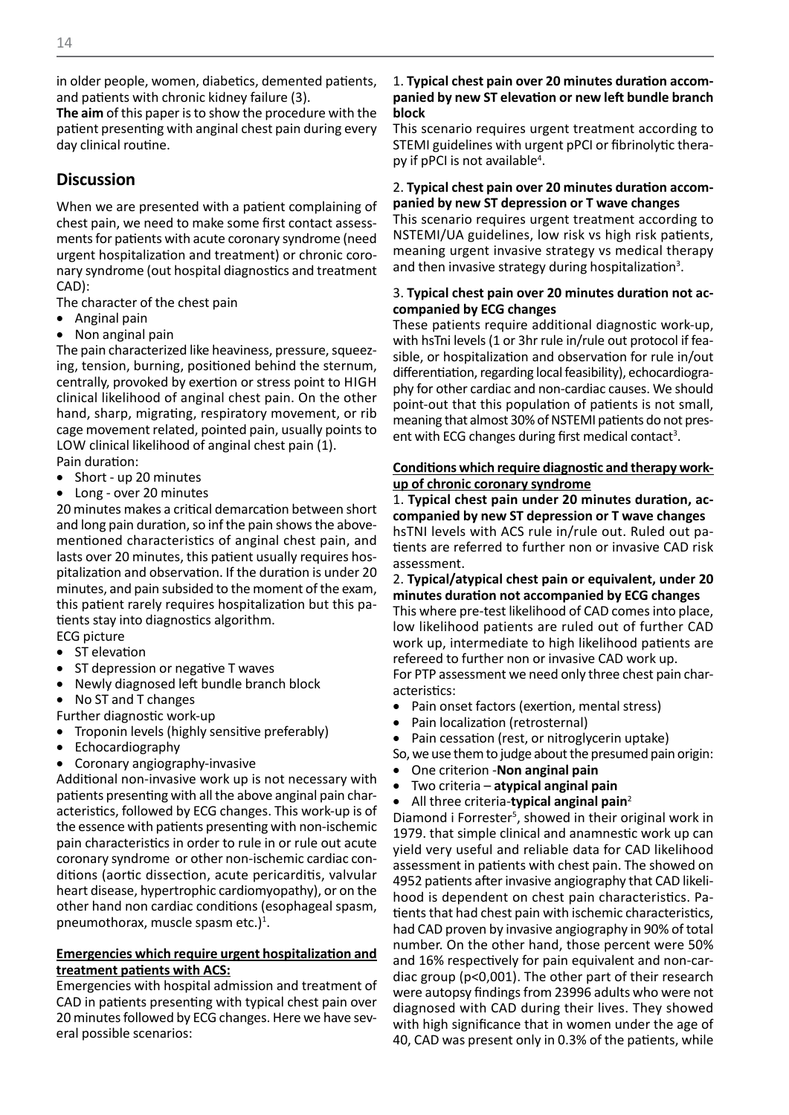in older people, women, diabetics, demented patients, and patients with chronic kidney failure (3).

**The aim** of this paper is to show the procedure with the patient presenting with anginal chest pain during every day clinical routine.

# **Discussion**

When we are presented with a patient complaining of chest pain, we need to make some first contact assessments for patients with acute coronary syndrome (need urgent hospitalization and treatment) or chronic coronary syndrome (out hospital diagnostics and treatment CAD):

The character of the chest pain

- Anginal pain
- Non anginal pain

The pain characterized like heaviness, pressure, squeezing, tension, burning, positioned behind the sternum, centrally, provoked by exertion or stress point to HIGH clinical likelihood of anginal chest pain. On the other hand, sharp, migrating, respiratory movement, or rib cage movement related, pointed pain, usually points to LOW clinical likelihood of anginal chest pain (1).

Pain duration:

- Short up 20 minutes
- Long over 20 minutes

20 minutes makes a critical demarcation between short and long pain duration, so inf the pain shows the abovementioned characteristics of anginal chest pain, and lasts over 20 minutes, this patient usually requires hospitalization and observation. If the duration is under 20 minutes, and pain subsided to the moment of the exam, this patient rarely requires hospitalization but this patients stay into diagnostics algorithm.

ECG picture

- ST elevation
- ST depression or negative T waves
- Newly diagnosed left bundle branch block
- No ST and T changes
- Further diagnostic work-up
- Troponin levels (highly sensitive preferably)
- **Echocardiography**
- • Coronary angiography-invasive

Additional non-invasive work up is not necessary with patients presenting with all the above anginal pain characteristics, followed by ECG changes. This work-up is of the essence with patients presenting with non-ischemic pain characteristics in order to rule in or rule out acute coronary syndrome or other non-ischemic cardiac conditions (aortic dissection, acute pericarditis, valvular heart disease, hypertrophic cardiomyopathy), or on the other hand non cardiac conditions (esophageal spasm, pneumothorax, muscle spasm etc.)<sup>1</sup>.

### **Emergencies which require urgent hospitalization and treatment patients with ACS:**

Emergencies with hospital admission and treatment of CAD in patients presenting with typical chest pain over 20 minutes followed by ECG changes. Here we have several possible scenarios:

#### 1. **Typical chest pain over 20 minutes duration accompanied by new ST elevation or new left bundle branch block**

This scenario requires urgent treatment according to STEMI guidelines with urgent pPCI or fibrinolytic therapy if pPCI is not available<sup>4</sup>.

#### 2. **Typical chest pain over 20 minutes duration accompanied by new ST depression or T wave changes**

This scenario requires urgent treatment according to NSTEMI/UA guidelines, low risk vs high risk patients, meaning urgent invasive strategy vs medical therapy and then invasive strategy during hospitalization<sup>3</sup>.

#### 3. **Typical chest pain over 20 minutes duration not accompanied by ECG changes**

These patients require additional diagnostic work-up, with hsTni levels (1 or 3hr rule in/rule out protocol if feasible, or hospitalization and observation for rule in/out differentiation, regarding local feasibility), echocardiography for other cardiac and non-cardiac causes. We should point-out that this population of patients is not small, meaning that almost 30% of NSTEMI patients do not present with ECG changes during first medical contact<sup>3</sup>.

## **Conditions which require diagnostic and therapy workup of chronic coronary syndrome**

1. **Typical chest pain under 20 minutes duration, accompanied by new ST depression or T wave changes** hsTNI levels with ACS rule in/rule out. Ruled out patients are referred to further non or invasive CAD risk assessment.

2. **Typical/atypical chest pain or equivalent, under 20 minutes duration not accompanied by ECG changes** This where pre-test likelihood of CAD comes into place, low likelihood patients are ruled out of further CAD

work up, intermediate to high likelihood patients are refereed to further non or invasive CAD work up. For PTP assessment we need only three chest pain characteristics:

- Pain onset factors (exertion, mental stress)
- Pain localization (retrosternal)
- Pain cessation (rest, or nitroglycerin uptake)

So, we use them to judge about the presumed pain origin:

- **One criterion Non anginal pain**
- Two criteria atypical anginal pain
- All three criteria-typical anginal pain<sup>2</sup>

Diamond i Forrester<sup>5</sup>, showed in their original work in 1979. that simple clinical and anamnestic work up can yield very useful and reliable data for CAD likelihood assessment in patients with chest pain. The showed on 4952 patients after invasive angiography that CAD likelihood is dependent on chest pain characteristics. Patients that had chest pain with ischemic characteristics, had CAD proven by invasive angiography in 90% of total number. On the other hand, those percent were 50% and 16% respectively for pain equivalent and non-cardiac group (p<0,001). The other part of their research were autopsy findings from 23996 adults who were not diagnosed with CAD during their lives. They showed with high significance that in women under the age of 40, CAD was present only in 0.3% of the patients, while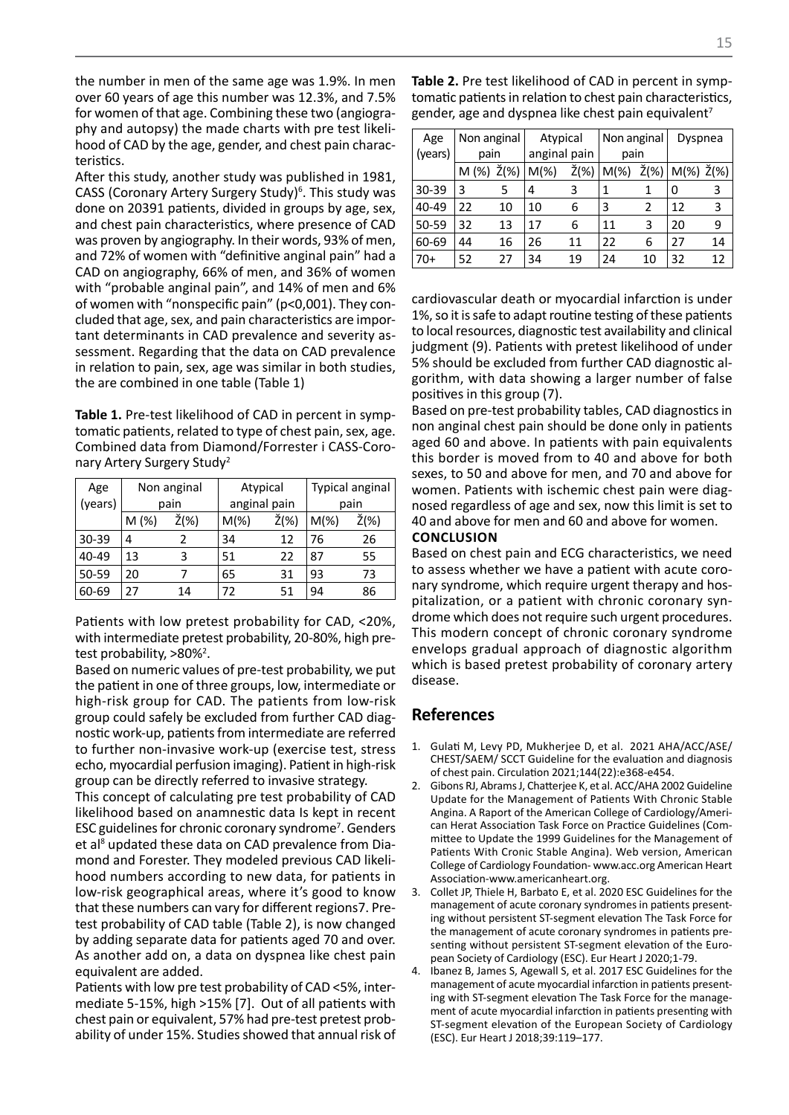the number in men of the same age was 1.9%. In men over 60 years of age this number was 12.3%, and 7.5% for women of that age. Combining these two (angiography and autopsy) the made charts with pre test likelihood of CAD by the age, gender, and chest pain characteristics.

After this study, another study was published in 1981, CASS (Coronary Artery Surgery Study)<sup>6</sup>. This study was done on 20391 patients, divided in groups by age, sex, and chest pain characteristics, where presence of CAD was proven by angiography. In their words, 93% of men, and 72% of women with "definitive anginal pain" had a CAD on angiography, 66% of men, and 36% of women with "probable anginal pain", and 14% of men and 6% of women with "nonspecific pain" (p<0,001). They concluded that age, sex, and pain characteristics are important determinants in CAD prevalence and severity assessment. Regarding that the data on CAD prevalence in relation to pain, sex, age was similar in both studies, the are combined in one table (Table 1)

**Table 1.** Pre-test likelihood of CAD in percent in symptomatic patients, related to type of chest pain, sex, age. Combined data from Diamond/Forrester i CASS-Coronary Artery Surgery Study<sup>2</sup>

| Age       |      | Non anginal |         | Atypical     |         | <b>Typical anginal</b> |  |
|-----------|------|-------------|---------|--------------|---------|------------------------|--|
| (years)   | pain |             |         | anginal pain |         | pain                   |  |
|           | M(%) | Ž(%)        | $M(\%)$ | Ž(%)         | $M(\%)$ | Ž(%)                   |  |
| $30 - 39$ | 4    |             | 34      | 12           | 76      | 26                     |  |
| 40-49     | 13   | 3           | 51      | 22           | 87      | 55                     |  |
| 50-59     | 20   |             | 65      | 31           | 93      | 73                     |  |
| 60-69     | 27   | 14          | 72      | 51           | 94      | 86                     |  |

Patients with low pretest probability for CAD, <20%, with intermediate pretest probability, 20-80%, high pretest probability, >80%<sup>2</sup>.

Based on numeric values of pre-test probability, we put the patient in one of three groups, low, intermediate or high-risk group for CAD. The patients from low-risk group could safely be excluded from further CAD diagnostic work-up, patients from intermediate are referred to further non-invasive work-up (exercise test, stress echo, myocardial perfusion imaging). Patient in high-risk group can be directly referred to invasive strategy.

This concept of calculating pre test probability of CAD likelihood based on anamnestic data Is kept in recent ESC guidelines for chronic coronary syndrome<sup>7</sup>. Genders et al<sup>8</sup> updated these data on CAD prevalence from Diamond and Forester. They modeled previous CAD likelihood numbers according to new data, for patients in low-risk geographical areas, where it's good to know that these numbers can vary for different regions7. Pretest probability of CAD table (Table 2), is now changed by adding separate data for patients aged 70 and over. As another add on, a data on dyspnea like chest pain equivalent are added.

Patients with low pre test probability of CAD <5%, intermediate 5-15%, high >15% [7]. Out of all patients with chest pain or equivalent, 57% had pre-test pretest probability of under 15%. Studies showed that annual risk of

| Table 2. Pre test likelihood of CAD in percent in symp-         |
|-----------------------------------------------------------------|
| tomatic patients in relation to chest pain characteristics,     |
| gender, age and dyspnea like chest pain equivalent <sup>7</sup> |

| Age       | Non anginal |                 | Atypical     |      | Non anginal |                 | Dyspnea |                 |
|-----------|-------------|-----------------|--------------|------|-------------|-----------------|---------|-----------------|
| (years)   | pain        |                 | anginal pain |      | pain        |                 |         |                 |
|           | $M(\%)$     | $\check{Z}(% )$ | $M(\%)$      | Ž(%) | $M(\%)$     | $\check{Z}(\%)$ | $M(\%)$ | $\check{Z}(\%)$ |
| $30 - 39$ | 3           | 5               | 4            | 3    | 1           | 1               | 0       | 3               |
| 40-49     | 22          | 10              | 10           | 6    | 3           | 2               | 12      | 3               |
| 50-59     | 32          | 13              | 17           | 6    | 11          | 3               | 20      | 9               |
| 60-69     | 44          | 16              | 26           | 11   | 22          | 6               | 27      | 14              |
| $70+$     | 52          | 27              | 34           | 19   | 24          | 10              | 32      | 12              |

cardiovascular death or myocardial infarction is under 1%, so it is safe to adapt routine testing of these patients to local resources, diagnostic test availability and clinical judgment (9). Patients with pretest likelihood of under 5% should be excluded from further CAD diagnostic algorithm, with data showing a larger number of false positives in this group (7).

Based on pre-test probability tables, CAD diagnostics in non anginal chest pain should be done only in patients aged 60 and above. In patients with pain equivalents this border is moved from to 40 and above for both sexes, to 50 and above for men, and 70 and above for women. Patients with ischemic chest pain were diagnosed regardless of age and sex, now this limit is set to 40 and above for men and 60 and above for women.

#### **CONCLUSION**

Based on chest pain and ECG characteristics, we need to assess whether we have a patient with acute coronary syndrome, which require urgent therapy and hospitalization, or a patient with chronic coronary syndrome which does not require such urgent procedures. This modern concept of chronic coronary syndrome envelops gradual approach of diagnostic algorithm which is based pretest probability of coronary artery disease.

## **References**

- 1. Gulati M, Levy PD, Mukherjee D, et al. 2021 AHA/ACC/ASE/ CHEST/SAEM/ SCCT Guideline for the evaluation and diagnosis of chest pain. Circulation 2021;144(22):e368-e454.
- 2. Gibons RJ, Abrams J, Chatterjee K, et al. ACC/AHA 2002 Guideline Update for the Management of Patients With Chronic Stable Angina. A Raport of the American College of Cardiology/American Herat Association Task Force on Practice Guidelines (Committee to Update the 1999 Guidelines for the Management of Patients With Cronic Stable Angina). Web version, American College of Cardiology Foundation- www.acc.org American Heart Association-www.americanheart.org.
- Collet JP, Thiele H, Barbato E, et al. 2020 ESC Guidelines for the management of acute coronary syndromes in patients presenting without persistent ST-segment elevation The Task Force for the management of acute coronary syndromes in patients presenting without persistent ST-segment elevation of the European Society of Cardiology (ESC). Eur Heart J 2020;1-79.
- 4. Ibanez B, James S, Agewall S, et al. 2017 ESC Guidelines for the management of acute myocardial infarction in patients presenting with ST-segment elevation The Task Force for the management of acute myocardial infarction in patients presenting with ST-segment elevation of the European Society of Cardiology (ESC). Eur Heart J 2018;39:119–177.